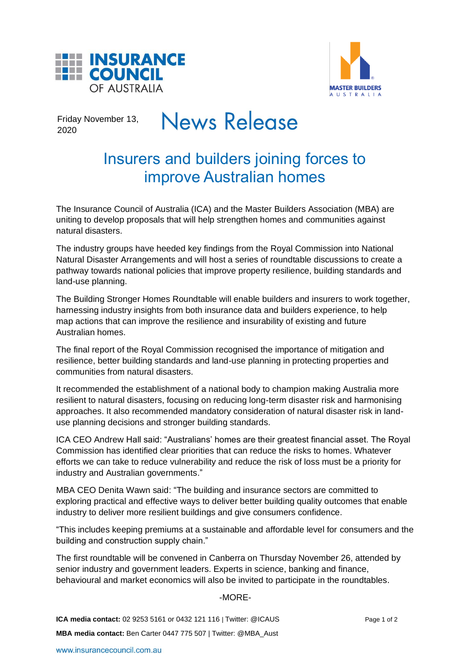



Friday November 13, 2020

# **News Release**

## Insurers and builders joining forces to improve Australian homes

The Insurance Council of Australia (ICA) and the Master Builders Association (MBA) are uniting to develop proposals that will help strengthen homes and communities against natural disasters.

The industry groups have heeded key findings from the Royal Commission into National Natural Disaster Arrangements and will host a series of roundtable discussions to create a pathway towards national policies that improve property resilience, building standards and land-use planning.

The Building Stronger Homes Roundtable will enable builders and insurers to work together, harnessing industry insights from both insurance data and builders experience, to help map actions that can improve the resilience and insurability of existing and future Australian homes.

The final report of the Royal Commission recognised the importance of mitigation and resilience, better building standards and land-use planning in protecting properties and communities from natural disasters.

It recommended the establishment of a national body to champion making Australia more resilient to natural disasters, focusing on reducing long-term disaster risk and harmonising approaches. It also recommended mandatory consideration of natural disaster risk in landuse planning decisions and stronger building standards.

ICA CEO Andrew Hall said: "Australians' homes are their greatest financial asset. The Royal Commission has identified clear priorities that can reduce the risks to homes. Whatever efforts we can take to reduce vulnerability and reduce the risk of loss must be a priority for industry and Australian governments."

MBA CEO Denita Wawn said: "The building and insurance sectors are committed to exploring practical and effective ways to deliver better building quality outcomes that enable industry to deliver more resilient buildings and give consumers confidence.

"This includes keeping premiums at a sustainable and affordable level for consumers and the building and construction supply chain."

The first roundtable will be convened in Canberra on Thursday November 26, attended by senior industry and government leaders. Experts in science, banking and finance, behavioural and market economics will also be invited to participate in the roundtables.

### -MORE-

**ICA media contact:** 02 9253 5161 or 0432 121 116 | Twitter: @ICAUS Page 1 of 2 **MBA media contact:** Ben Carter 0447 775 507 | Twitter: @MBA\_Aust